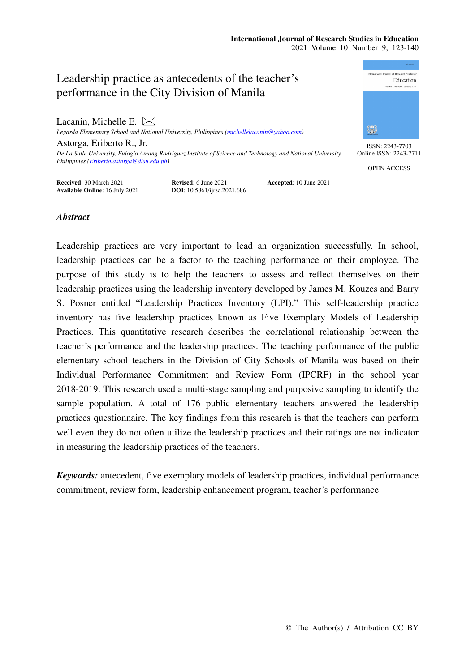

## *Abstract*

Leadership practices are very important to lead an organization successfully. In school, leadership practices can be a factor to the teaching performance on their employee. The purpose of this study is to help the teachers to assess and reflect themselves on their leadership practices using the leadership inventory developed by James M. Kouzes and Barry S. Posner entitled "Leadership Practices Inventory (LPI)." This self-leadership practice inventory has five leadership practices known as Five Exemplary Models of Leadership Practices. This quantitative research describes the correlational relationship between the teacher's performance and the leadership practices. The teaching performance of the public elementary school teachers in the Division of City Schools of Manila was based on their Individual Performance Commitment and Review Form (IPCRF) in the school year 2018-2019. This research used a multi-stage sampling and purposive sampling to identify the sample population. A total of 176 public elementary teachers answered the leadership practices questionnaire. The key findings from this research is that the teachers can perform well even they do not often utilize the leadership practices and their ratings are not indicator in measuring the leadership practices of the teachers.

*Keywords:* antecedent, five exemplary models of leadership practices, individual performance commitment, review form, leadership enhancement program, teacher's performance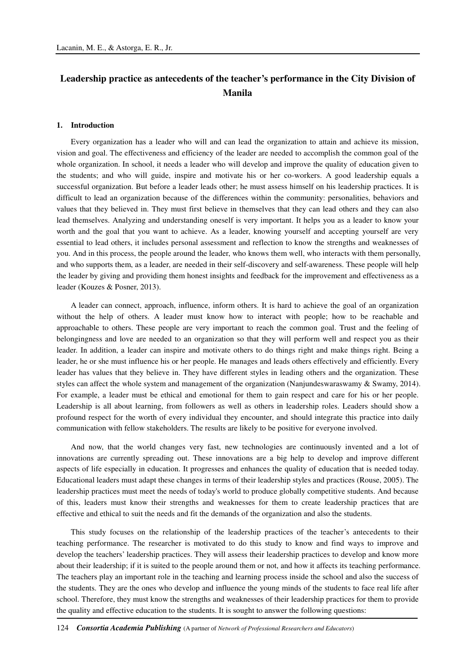# **Leadership practice as antecedents of the teacher's performance in the City Division of Manila**

#### **1. Introduction**

Every organization has a leader who will and can lead the organization to attain and achieve its mission, vision and goal. The effectiveness and efficiency of the leader are needed to accomplish the common goal of the whole organization. In school, it needs a leader who will develop and improve the quality of education given to the students; and who will guide, inspire and motivate his or her co-workers. A good leadership equals a successful organization. But before a leader leads other; he must assess himself on his leadership practices. It is difficult to lead an organization because of the differences within the community: personalities, behaviors and values that they believed in. They must first believe in themselves that they can lead others and they can also lead themselves. Analyzing and understanding oneself is very important. It helps you as a leader to know your worth and the goal that you want to achieve. As a leader, knowing yourself and accepting yourself are very essential to lead others, it includes personal assessment and reflection to know the strengths and weaknesses of you. And in this process, the people around the leader, who knows them well, who interacts with them personally, and who supports them, as a leader, are needed in their self-discovery and self-awareness. These people will help the leader by giving and providing them honest insights and feedback for the improvement and effectiveness as a leader (Kouzes & Posner, 2013).

A leader can connect, approach, influence, inform others. It is hard to achieve the goal of an organization without the help of others. A leader must know how to interact with people; how to be reachable and approachable to others. These people are very important to reach the common goal. Trust and the feeling of belongingness and love are needed to an organization so that they will perform well and respect you as their leader. In addition, a leader can inspire and motivate others to do things right and make things right. Being a leader, he or she must influence his or her people. He manages and leads others effectively and efficiently. Every leader has values that they believe in. They have different styles in leading others and the organization. These styles can affect the whole system and management of the organization (Nanjundeswaraswamy & Swamy, 2014). For example, a leader must be ethical and emotional for them to gain respect and care for his or her people. Leadership is all about learning, from followers as well as others in leadership roles. Leaders should show a profound respect for the worth of every individual they encounter, and should integrate this practice into daily communication with fellow stakeholders. The results are likely to be positive for everyone involved.

And now, that the world changes very fast, new technologies are continuously invented and a lot of innovations are currently spreading out. These innovations are a big help to develop and improve different aspects of life especially in education. It progresses and enhances the quality of education that is needed today. Educational leaders must adapt these changes in terms of their leadership styles and practices (Rouse, 2005). The leadership practices must meet the needs of today's world to produce globally competitive students. And because of this, leaders must know their strengths and weaknesses for them to create leadership practices that are effective and ethical to suit the needs and fit the demands of the organization and also the students.

This study focuses on the relationship of the leadership practices of the teacher's antecedents to their teaching performance. The researcher is motivated to do this study to know and find ways to improve and develop the teachers' leadership practices. They will assess their leadership practices to develop and know more about their leadership; if it is suited to the people around them or not, and how it affects its teaching performance. The teachers play an important role in the teaching and learning process inside the school and also the success of the students. They are the ones who develop and influence the young minds of the students to face real life after school. Therefore, they must know the strengths and weaknesses of their leadership practices for them to provide the quality and effective education to the students. It is sought to answer the following questions: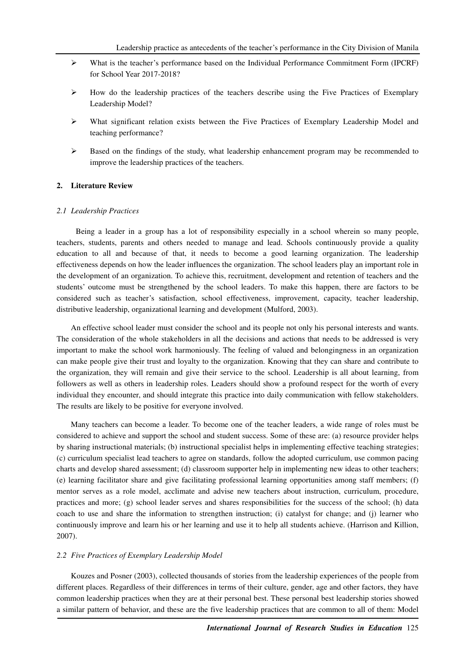- $\triangleright$  What is the teacher's performance based on the Individual Performance Commitment Form (IPCRF) for School Year 2017-2018?
- How do the leadership practices of the teachers describe using the Five Practices of Exemplary Leadership Model?
- $\triangleright$  What significant relation exists between the Five Practices of Exemplary Leadership Model and teaching performance?
- $\triangleright$  Based on the findings of the study, what leadership enhancement program may be recommended to improve the leadership practices of the teachers.

### **2. Literature Review**

#### *2.1 Leadership Practices*

Being a leader in a group has a lot of responsibility especially in a school wherein so many people, teachers, students, parents and others needed to manage and lead. Schools continuously provide a quality education to all and because of that, it needs to become a good learning organization. The leadership effectiveness depends on how the leader influences the organization. The school leaders play an important role in the development of an organization. To achieve this, recruitment, development and retention of teachers and the students' outcome must be strengthened by the school leaders. To make this happen, there are factors to be considered such as teacher's satisfaction, school effectiveness, improvement, capacity, teacher leadership, distributive leadership, organizational learning and development (Mulford, 2003).

An effective school leader must consider the school and its people not only his personal interests and wants. The consideration of the whole stakeholders in all the decisions and actions that needs to be addressed is very important to make the school work harmoniously. The feeling of valued and belongingness in an organization can make people give their trust and loyalty to the organization. Knowing that they can share and contribute to the organization, they will remain and give their service to the school. Leadership is all about learning, from followers as well as others in leadership roles. Leaders should show a profound respect for the worth of every individual they encounter, and should integrate this practice into daily communication with fellow stakeholders. The results are likely to be positive for everyone involved.

Many teachers can become a leader. To become one of the teacher leaders, a wide range of roles must be considered to achieve and support the school and student success. Some of these are: (a) resource provider helps by sharing instructional materials; (b) instructional specialist helps in implementing effective teaching strategies; (c) curriculum specialist lead teachers to agree on standards, follow the adopted curriculum, use common pacing charts and develop shared assessment; (d) classroom supporter help in implementing new ideas to other teachers; (e) learning facilitator share and give facilitating professional learning opportunities among staff members; (f) mentor serves as a role model, acclimate and advise new teachers about instruction, curriculum, procedure, practices and more; (g) school leader serves and shares responsibilities for the success of the school; (h) data coach to use and share the information to strengthen instruction; (i) catalyst for change; and (j) learner who continuously improve and learn his or her learning and use it to help all students achieve. (Harrison and Killion, 2007).

### *2.2 Five Practices of Exemplary Leadership Model*

Kouzes and Posner (2003), collected thousands of stories from the leadership experiences of the people from different places. Regardless of their differences in terms of their culture, gender, age and other factors, they have common leadership practices when they are at their personal best. These personal best leadership stories showed a similar pattern of behavior, and these are the five leadership practices that are common to all of them: Model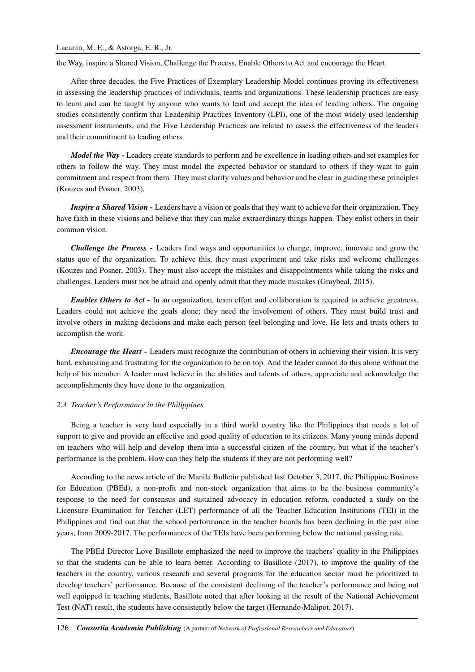the Way, inspire a Shared Vision, Challenge the Process, Enable Others to Act and encourage the Heart.

After three decades, the Five Practices of Exemplary Leadership Model continues proving its effectiveness in assessing the leadership practices of individuals, teams and organizations. These leadership practices are easy to learn and can be taught by anyone who wants to lead and accept the idea of leading others. The ongoing studies consistently confirm that Leadership Practices Inventory (LPI), one of the most widely used leadership assessment instruments, and the Five Leadership Practices are related to assess the effectiveness of the leaders and their commitment to leading others.

*Model the Way -* Leaders create standards to perform and be excellence in leading others and set examples for others to follow the way. They must model the expected behavior or standard to others if they want to gain commitment and respect from them. They must clarify values and behavior and be clear in guiding these principles (Kouzes and Posner, 2003).

*Inspire a Shared Vision - Leaders have a vision or goals that they want to achieve for their organization. They* have faith in these visions and believe that they can make extraordinary things happen. They enlist others in their common vision.

*Challenge the Process -* Leaders find ways and opportunities to change, improve, innovate and grow the status quo of the organization. To achieve this, they must experiment and take risks and welcome challenges (Kouzes and Posner, 2003). They must also accept the mistakes and disappointments while taking the risks and challenges. Leaders must not be afraid and openly admit that they made mistakes (Graybeal, 2015).

*Enables Others to Act -* In an organization, team effort and collaboration is required to achieve greatness. Leaders could not achieve the goals alone; they need the involvement of others. They must build trust and involve others in making decisions and make each person feel belonging and love. He lets and trusts others to accomplish the work.

*Encourage the Heart -* Leaders must recognize the contribution of others in achieving their vision. It is very hard, exhausting and frustrating for the organization to be on top. And the leader cannot do this alone without the help of his member. A leader must believe in the abilities and talents of others, appreciate and acknowledge the accomplishments they have done to the organization.

### *2.3 Teacher's Performance in the Philippines*

Being a teacher is very hard especially in a third world country like the Philippines that needs a lot of support to give and provide an effective and good quality of education to its citizens. Many young minds depend on teachers who will help and develop them into a successful citizen of the country, but what if the teacher's performance is the problem. How can they help the students if they are not performing well?

According to the news article of the Manila Bulletin published last October 3, 2017, the Philippine Business for Education (PBEd), a non-profit and non-stock organization that aims to be the business community's response to the need for consensus and sustained advocacy in education reform, conducted a study on the Licensure Examination for Teacher (LET) performance of all the Teacher Education Institutions (TEI) in the Philippines and find out that the school performance in the teacher boards has been declining in the past nine years, from 2009-2017. The performances of the TEIs have been performing below the national passing rate.

The PBEd Director Love Basillote emphasized the need to improve the teachers' quality in the Philippines so that the students can be able to learn better. According to Basillote (2017), to improve the quality of the teachers in the country, various research and several programs for the education sector must be prioritized to develop teachers' performance. Because of the consistent declining of the teacher's performance and being not well equipped in teaching students, Basillote noted that after looking at the result of the National Achievement Test (NAT) result, the students have consistently below the target (Hernando-Malipot, 2017).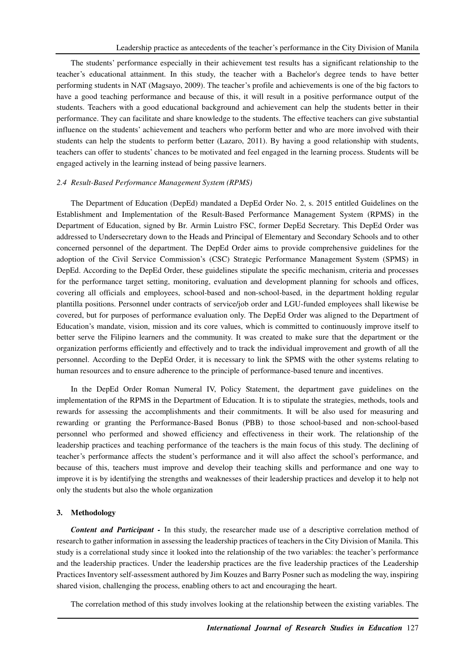The students' performance especially in their achievement test results has a significant relationship to the teacher's educational attainment. In this study, the teacher with a Bachelor's degree tends to have better performing students in NAT (Magsayo, 2009). The teacher's profile and achievements is one of the big factors to have a good teaching performance and because of this, it will result in a positive performance output of the students. Teachers with a good educational background and achievement can help the students better in their performance. They can facilitate and share knowledge to the students. The effective teachers can give substantial influence on the students' achievement and teachers who perform better and who are more involved with their students can help the students to perform better (Lazaro, 2011). By having a good relationship with students, teachers can offer to students' chances to be motivated and feel engaged in the learning process. Students will be engaged actively in the learning instead of being passive learners.

### *2.4 Result-Based Performance Management System (RPMS)*

The Department of Education (DepEd) mandated a DepEd Order No. 2, s. 2015 entitled Guidelines on the Establishment and Implementation of the Result-Based Performance Management System (RPMS) in the Department of Education, signed by Br. Armin Luistro FSC, former DepEd Secretary. This DepEd Order was addressed to Undersecretary down to the Heads and Principal of Elementary and Secondary Schools and to other concerned personnel of the department. The DepEd Order aims to provide comprehensive guidelines for the adoption of the Civil Service Commission's (CSC) Strategic Performance Management System (SPMS) in DepEd. According to the DepEd Order, these guidelines stipulate the specific mechanism, criteria and processes for the performance target setting, monitoring, evaluation and development planning for schools and offices, covering all officials and employees, school-based and non-school-based, in the department holding regular plantilla positions. Personnel under contracts of service/job order and LGU-funded employees shall likewise be covered, but for purposes of performance evaluation only. The DepEd Order was aligned to the Department of Education's mandate, vision, mission and its core values, which is committed to continuously improve itself to better serve the Filipino learners and the community. It was created to make sure that the department or the organization performs efficiently and effectively and to track the individual improvement and growth of all the personnel. According to the DepEd Order, it is necessary to link the SPMS with the other systems relating to human resources and to ensure adherence to the principle of performance-based tenure and incentives.

In the DepEd Order Roman Numeral IV, Policy Statement, the department gave guidelines on the implementation of the RPMS in the Department of Education. It is to stipulate the strategies, methods, tools and rewards for assessing the accomplishments and their commitments. It will be also used for measuring and rewarding or granting the Performance-Based Bonus (PBB) to those school-based and non-school-based personnel who performed and showed efficiency and effectiveness in their work. The relationship of the leadership practices and teaching performance of the teachers is the main focus of this study. The declining of teacher's performance affects the student's performance and it will also affect the school's performance, and because of this, teachers must improve and develop their teaching skills and performance and one way to improve it is by identifying the strengths and weaknesses of their leadership practices and develop it to help not only the students but also the whole organization

#### **3. Methodology**

*Content and Participant -* In this study, the researcher made use of a descriptive correlation method of research to gather information in assessing the leadership practices of teachers in the City Division of Manila. This study is a correlational study since it looked into the relationship of the two variables: the teacher's performance and the leadership practices. Under the leadership practices are the five leadership practices of the Leadership Practices Inventory self-assessment authored by Jim Kouzes and Barry Posner such as modeling the way, inspiring shared vision, challenging the process, enabling others to act and encouraging the heart.

The correlation method of this study involves looking at the relationship between the existing variables. The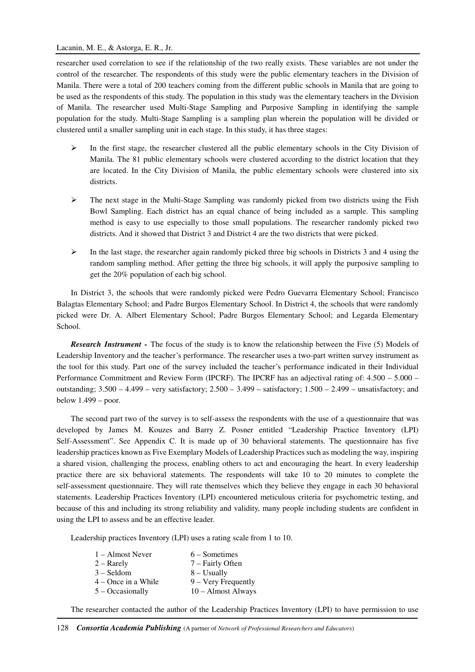researcher used correlation to see if the relationship of the two really exists. These variables are not under the control of the researcher. The respondents of this study were the public elementary teachers in the Division of Manila. There were a total of 200 teachers coming from the different public schools in Manila that are going to be used as the respondents of this study. The population in this study was the elementary teachers in the Division of Manila. The researcher used Multi-Stage Sampling and Purposive Sampling in identifying the sample population for the study. Multi-Stage Sampling is a sampling plan wherein the population will be divided or clustered until a smaller sampling unit in each stage. In this study, it has three stages:

- $\triangleright$  In the first stage, the researcher clustered all the public elementary schools in the City Division of Manila. The 81 public elementary schools were clustered according to the district location that they are located. In the City Division of Manila, the public elementary schools were clustered into six districts.
- $\triangleright$  The next stage in the Multi-Stage Sampling was randomly picked from two districts using the Fish Bowl Sampling. Each district has an equal chance of being included as a sample. This sampling method is easy to use especially to those small populations. The researcher randomly picked two districts. And it showed that District 3 and District 4 are the two districts that were picked.
- $\triangleright$  In the last stage, the researcher again randomly picked three big schools in Districts 3 and 4 using the random sampling method. After getting the three big schools, it will apply the purposive sampling to get the 20% population of each big school.

In District 3, the schools that were randomly picked were Pedro Guevarra Elementary School; Francisco Balagtas Elementary School; and Padre Burgos Elementary School. In District 4, the schools that were randomly picked were Dr. A. Albert Elementary School; Padre Burgos Elementary School; and Legarda Elementary School.

*Research Instrument -* The focus of the study is to know the relationship between the Five (5) Models of Leadership Inventory and the teacher's performance. The researcher uses a two-part written survey instrument as the tool for this study. Part one of the survey included the teacher's performance indicated in their Individual Performance Commitment and Review Form (IPCRF). The IPCRF has an adjectival rating of: 4.500 – 5.000 – outstanding;  $3.500 - 4.499$  – very satisfactory;  $2.500 - 3.499$  – satisfactory;  $1.500 - 2.499$  – unsatisfactory; and below  $1.499 -$  poor.

The second part two of the survey is to self-assess the respondents with the use of a questionnaire that was developed by James M. Kouzes and Barry Z. Posner entitled "Leadership Practice Inventory (LPI) Self-Assessment". See Appendix C. It is made up of 30 behavioral statements. The questionnaire has five leadership practices known as Five Exemplary Models of Leadership Practices such as modeling the way, inspiring a shared vision, challenging the process, enabling others to act and encouraging the heart. In every leadership practice there are six behavioral statements. The respondents will take 10 to 20 minutes to complete the self-assessment questionnaire. They will rate themselves which they believe they engage in each 30 behavioral statements. Leadership Practices Inventory (LPI) encountered meticulous criteria for psychometric testing, and because of this and including its strong reliability and validity, many people including students are confident in using the LPI to assess and be an effective leader.

Leadership practices Inventory (LPI) uses a rating scale from 1 to 10.

| 1 – Almost Never      | $6 - Sometimes$              |
|-----------------------|------------------------------|
| $2 -$ Rarely          | 7 – Fairly Often             |
| $3 - S$ eldom         | $8 - Usually$                |
| $4 -$ Once in a While | $9 - \text{Very Frequently}$ |
| $5 - Occasionally$    | $10 -$ Almost Always         |
|                       |                              |

The researcher contacted the author of the Leadership Practices Inventory (LPI) to have permission to use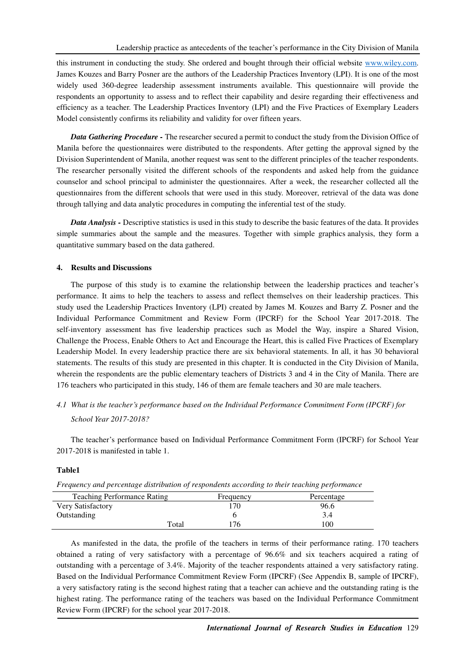this instrument in conducting the study. She ordered and bought through their official website www.wiley.com. James Kouzes and Barry Posner are the authors of the Leadership Practices Inventory (LPI). It is one of the most widely used 360-degree leadership assessment instruments available. This questionnaire will provide the respondents an opportunity to assess and to reflect their capability and desire regarding their effectiveness and efficiency as a teacher. The Leadership Practices Inventory (LPI) and the Five Practices of Exemplary Leaders Model consistently confirms its reliability and validity for over fifteen years.

*Data Gathering Procedure -* The researcher secured a permit to conduct the study from the Division Office of Manila before the questionnaires were distributed to the respondents. After getting the approval signed by the Division Superintendent of Manila, another request was sent to the different principles of the teacher respondents. The researcher personally visited the different schools of the respondents and asked help from the guidance counselor and school principal to administer the questionnaires. After a week, the researcher collected all the questionnaires from the different schools that were used in this study. Moreover, retrieval of the data was done through tallying and data analytic procedures in computing the inferential test of the study.

*Data Analysis -* Descriptive statistics is used in this study to describe the basic features of the data. It provides simple summaries about the sample and the measures. Together with simple graphics analysis, they form a quantitative summary based on the data gathered.

### **4. Results and Discussions**

The purpose of this study is to examine the relationship between the leadership practices and teacher's performance. It aims to help the teachers to assess and reflect themselves on their leadership practices. This study used the Leadership Practices Inventory (LPI) created by James M. Kouzes and Barry Z. Posner and the Individual Performance Commitment and Review Form (IPCRF) for the School Year 2017-2018. The self-inventory assessment has five leadership practices such as Model the Way, inspire a Shared Vision, Challenge the Process, Enable Others to Act and Encourage the Heart, this is called Five Practices of Exemplary Leadership Model. In every leadership practice there are six behavioral statements. In all, it has 30 behavioral statements. The results of this study are presented in this chapter. It is conducted in the City Division of Manila, wherein the respondents are the public elementary teachers of Districts 3 and 4 in the City of Manila. There are 176 teachers who participated in this study, 146 of them are female teachers and 30 are male teachers.

## *4.1 What is the teacher's performance based on the Individual Performance Commitment Form (IPCRF) for School Year 2017-2018?*

The teacher's performance based on Individual Performance Commitment Form (IPCRF) for School Year 2017-2018 is manifested in table 1.

### **Table1**

|  |  |  |  |  |  | Frequency and percentage distribution of respondents according to their teaching performance |
|--|--|--|--|--|--|----------------------------------------------------------------------------------------------|
|--|--|--|--|--|--|----------------------------------------------------------------------------------------------|

| <b>Teaching Performance Rating</b> |       | Frequency | Percentage |
|------------------------------------|-------|-----------|------------|
| Very Satisfactory                  |       | 70        | 96.6       |
| Outstanding                        |       |           | 3.4        |
|                                    | Total | '76       | 100        |

As manifested in the data, the profile of the teachers in terms of their performance rating. 170 teachers obtained a rating of very satisfactory with a percentage of 96.6% and six teachers acquired a rating of outstanding with a percentage of 3.4%. Majority of the teacher respondents attained a very satisfactory rating. Based on the Individual Performance Commitment Review Form (IPCRF) (See Appendix B, sample of IPCRF), a very satisfactory rating is the second highest rating that a teacher can achieve and the outstanding rating is the highest rating. The performance rating of the teachers was based on the Individual Performance Commitment Review Form (IPCRF) for the school year 2017-2018.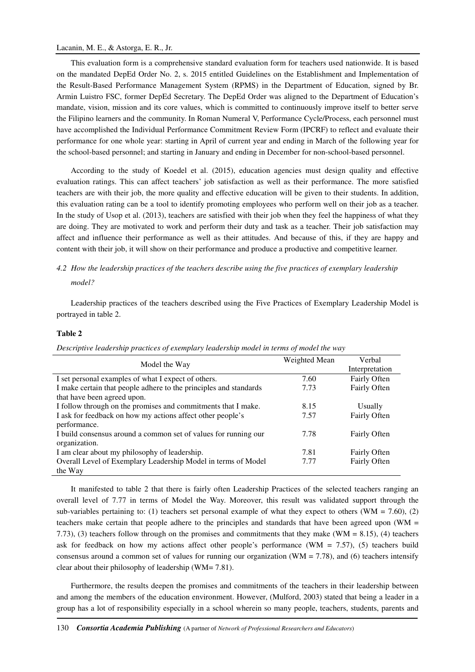This evaluation form is a comprehensive standard evaluation form for teachers used nationwide. It is based on the mandated DepEd Order No. 2, s. 2015 entitled Guidelines on the Establishment and Implementation of the Result-Based Performance Management System (RPMS) in the Department of Education, signed by Br. Armin Luistro FSC, former DepEd Secretary. The DepEd Order was aligned to the Department of Education's mandate, vision, mission and its core values, which is committed to continuously improve itself to better serve the Filipino learners and the community. In Roman Numeral V, Performance Cycle/Process, each personnel must have accomplished the Individual Performance Commitment Review Form (IPCRF) to reflect and evaluate their performance for one whole year: starting in April of current year and ending in March of the following year for the school-based personnel; and starting in January and ending in December for non-school-based personnel.

According to the study of Koedel et al. (2015), education agencies must design quality and effective evaluation ratings. This can affect teachers' job satisfaction as well as their performance. The more satisfied teachers are with their job, the more quality and effective education will be given to their students. In addition, this evaluation rating can be a tool to identify promoting employees who perform well on their job as a teacher. In the study of Usop et al. (2013), teachers are satisfied with their job when they feel the happiness of what they are doing. They are motivated to work and perform their duty and task as a teacher. Their job satisfaction may affect and influence their performance as well as their attitudes. And because of this, if they are happy and content with their job, it will show on their performance and produce a productive and competitive learner.

## *4.2 How the leadership practices of the teachers describe using the five practices of exemplary leadership model?*

Leadership practices of the teachers described using the Five Practices of Exemplary Leadership Model is portrayed in table 2.

## **Table 2**

| Model the Way                                                     | Weighted Mean | Verbal         |
|-------------------------------------------------------------------|---------------|----------------|
|                                                                   |               | Interpretation |
| I set personal examples of what I expect of others.               | 7.60          | Fairly Often   |
| I make certain that people adhere to the principles and standards | 7.73          | Fairly Often   |
| that have been agreed upon.                                       |               |                |
| I follow through on the promises and commitments that I make.     | 8.15          | Usually        |
| I ask for feedback on how my actions affect other people's        | 7.57          | Fairly Often   |
| performance.                                                      |               |                |
| I build consensus around a common set of values for running our   | 7.78          | Fairly Often   |
| organization.                                                     |               |                |
| I am clear about my philosophy of leadership.                     | 7.81          | Fairly Often   |
| Overall Level of Exemplary Leadership Model in terms of Model     | 7.77          | Fairly Often   |
| the Way                                                           |               |                |

*Descriptive leadership practices of exemplary leadership model in terms of model the way* 

It manifested to table 2 that there is fairly often Leadership Practices of the selected teachers ranging an overall level of 7.77 in terms of Model the Way. Moreover, this result was validated support through the sub-variables pertaining to: (1) teachers set personal example of what they expect to others (WM = 7.60), (2) teachers make certain that people adhere to the principles and standards that have been agreed upon (WM = 7.73), (3) teachers follow through on the promises and commitments that they make (WM = 8.15), (4) teachers ask for feedback on how my actions affect other people's performance (WM = 7.57), (5) teachers build consensus around a common set of values for running our organization (WM = 7.78), and (6) teachers intensify clear about their philosophy of leadership (WM= 7.81).

Furthermore, the results deepen the promises and commitments of the teachers in their leadership between and among the members of the education environment. However, (Mulford, 2003) stated that being a leader in a group has a lot of responsibility especially in a school wherein so many people, teachers, students, parents and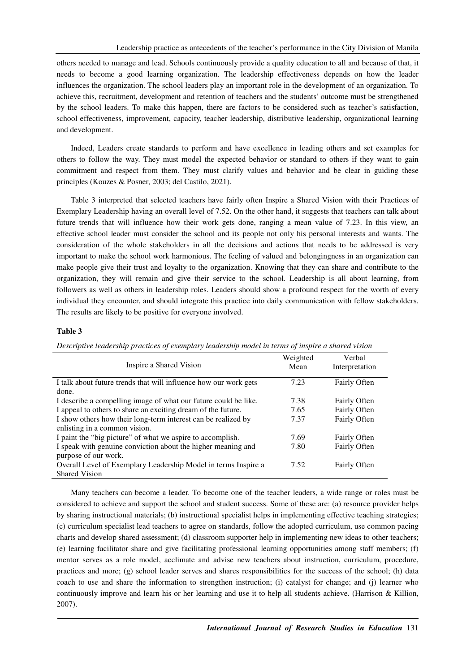others needed to manage and lead. Schools continuously provide a quality education to all and because of that, it needs to become a good learning organization. The leadership effectiveness depends on how the leader influences the organization. The school leaders play an important role in the development of an organization. To achieve this, recruitment, development and retention of teachers and the students' outcome must be strengthened by the school leaders. To make this happen, there are factors to be considered such as teacher's satisfaction, school effectiveness, improvement, capacity, teacher leadership, distributive leadership, organizational learning and development.

Indeed, Leaders create standards to perform and have excellence in leading others and set examples for others to follow the way. They must model the expected behavior or standard to others if they want to gain commitment and respect from them. They must clarify values and behavior and be clear in guiding these principles (Kouzes & Posner, 2003; del Castilo, 2021).

Table 3 interpreted that selected teachers have fairly often Inspire a Shared Vision with their Practices of Exemplary Leadership having an overall level of 7.52. On the other hand, it suggests that teachers can talk about future trends that will influence how their work gets done, ranging a mean value of 7.23. In this view, an effective school leader must consider the school and its people not only his personal interests and wants. The consideration of the whole stakeholders in all the decisions and actions that needs to be addressed is very important to make the school work harmonious. The feeling of valued and belongingness in an organization can make people give their trust and loyalty to the organization. Knowing that they can share and contribute to the organization, they will remain and give their service to the school. Leadership is all about learning, from followers as well as others in leadership roles. Leaders should show a profound respect for the worth of every individual they encounter, and should integrate this practice into daily communication with fellow stakeholders. The results are likely to be positive for everyone involved.

## **Table 3**

| Descriptive leadership practices of exemplary leadership model in terms of inspire a shared vision |  |  |  |
|----------------------------------------------------------------------------------------------------|--|--|--|
|----------------------------------------------------------------------------------------------------|--|--|--|

|                                                                  | Weighted | Verbal              |
|------------------------------------------------------------------|----------|---------------------|
| Inspire a Shared Vision                                          | Mean     | Interpretation      |
|                                                                  |          |                     |
| I talk about future trends that will influence how our work gets | 7.23     | Fairly Often        |
| done.                                                            |          |                     |
| I describe a compelling image of what our future could be like.  | 7.38     | Fairly Often        |
| I appeal to others to share an exciting dream of the future.     | 7.65     | Fairly Often        |
| I show others how their long-term interest can be realized by    | 7.37     | Fairly Often        |
| enlisting in a common vision.                                    |          |                     |
| I paint the "big picture" of what we aspire to accomplish.       | 7.69     | Fairly Often        |
| I speak with genuine conviction about the higher meaning and     | 7.80     | Fairly Often        |
| purpose of our work.                                             |          |                     |
| Overall Level of Exemplary Leadership Model in terms Inspire a   | 7.52     | <b>Fairly Often</b> |
| <b>Shared Vision</b>                                             |          |                     |

Many teachers can become a leader. To become one of the teacher leaders, a wide range or roles must be considered to achieve and support the school and student success. Some of these are: (a) resource provider helps by sharing instructional materials; (b) instructional specialist helps in implementing effective teaching strategies; (c) curriculum specialist lead teachers to agree on standards, follow the adopted curriculum, use common pacing charts and develop shared assessment; (d) classroom supporter help in implementing new ideas to other teachers; (e) learning facilitator share and give facilitating professional learning opportunities among staff members; (f) mentor serves as a role model, acclimate and advise new teachers about instruction, curriculum, procedure, practices and more; (g) school leader serves and shares responsibilities for the success of the school; (h) data coach to use and share the information to strengthen instruction; (i) catalyst for change; and (j) learner who continuously improve and learn his or her learning and use it to help all students achieve. (Harrison & Killion, 2007).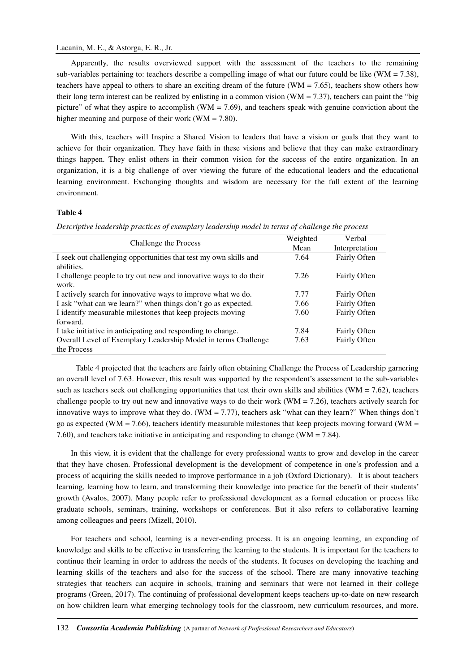Apparently, the results overviewed support with the assessment of the teachers to the remaining sub-variables pertaining to: teachers describe a compelling image of what our future could be like (WM = 7.38), teachers have appeal to others to share an exciting dream of the future (WM = 7.65), teachers show others how their long term interest can be realized by enlisting in a common vision (WM =  $7.37$ ), teachers can paint the "big picture" of what they aspire to accomplish (WM = 7.69), and teachers speak with genuine conviction about the higher meaning and purpose of their work ( $WM = 7.80$ ).

With this, teachers will Inspire a Shared Vision to leaders that have a vision or goals that they want to achieve for their organization. They have faith in these visions and believe that they can make extraordinary things happen. They enlist others in their common vision for the success of the entire organization. In an organization, it is a big challenge of over viewing the future of the educational leaders and the educational learning environment. Exchanging thoughts and wisdom are necessary for the full extent of the learning environment.

## **Table 4**

*Descriptive leadership practices of exemplary leadership model in terms of challenge the process* 

|                                                                   | Weighted | Verbal              |
|-------------------------------------------------------------------|----------|---------------------|
| Challenge the Process                                             | Mean     | Interpretation      |
| I seek out challenging opportunities that test my own skills and  | 7.64     | Fairly Often        |
| abilities.                                                        |          |                     |
| I challenge people to try out new and innovative ways to do their | 7.26     | <b>Fairly Often</b> |
| work.                                                             |          |                     |
| I actively search for innovative ways to improve what we do.      | 7.77     | Fairly Often        |
| I ask "what can we learn?" when things don't go as expected.      | 7.66     | Fairly Often        |
| I identify measurable milestones that keep projects moving        | 7.60     | Fairly Often        |
| forward.                                                          |          |                     |
| I take initiative in anticipating and responding to change.       | 7.84     | Fairly Often        |
| Overall Level of Exemplary Leadership Model in terms Challenge    | 7.63     | Fairly Often        |
| the Process                                                       |          |                     |

 Table 4 projected that the teachers are fairly often obtaining Challenge the Process of Leadership garnering an overall level of 7.63. However, this result was supported by the respondent's assessment to the sub-variables such as teachers seek out challenging opportunities that test their own skills and abilities (WM =  $7.62$ ), teachers challenge people to try out new and innovative ways to do their work (WM = 7.26), teachers actively search for innovative ways to improve what they do. (WM = 7.77), teachers ask "what can they learn?" When things don't go as expected (WM = 7.66), teachers identify measurable milestones that keep projects moving forward (WM = 7.60), and teachers take initiative in anticipating and responding to change (WM = 7.84).

In this view, it is evident that the challenge for every professional wants to grow and develop in the career that they have chosen. Professional development is the development of competence in one's profession and a process of acquiring the skills needed to improve performance in a job (Oxford Dictionary). It is about teachers learning, learning how to learn, and transforming their knowledge into practice for the benefit of their students' growth (Avalos, 2007). Many people refer to professional development as a formal education or process like graduate schools, seminars, training, workshops or conferences. But it also refers to collaborative learning among colleagues and peers (Mizell, 2010).

For teachers and school, learning is a never-ending process. It is an ongoing learning, an expanding of knowledge and skills to be effective in transferring the learning to the students. It is important for the teachers to continue their learning in order to address the needs of the students. It focuses on developing the teaching and learning skills of the teachers and also for the success of the school. There are many innovative teaching strategies that teachers can acquire in schools, training and seminars that were not learned in their college programs (Green, 2017). The continuing of professional development keeps teachers up-to-date on new research on how children learn what emerging technology tools for the classroom, new curriculum resources, and more.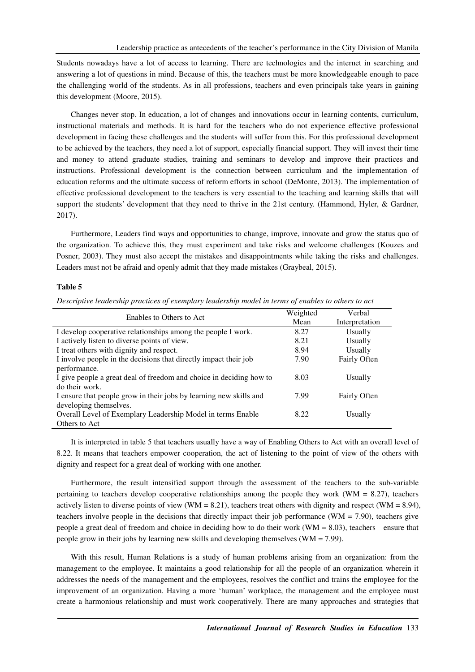Students nowadays have a lot of access to learning. There are technologies and the internet in searching and answering a lot of questions in mind. Because of this, the teachers must be more knowledgeable enough to pace the challenging world of the students. As in all professions, teachers and even principals take years in gaining this development (Moore, 2015).

Changes never stop. In education, a lot of changes and innovations occur in learning contents, curriculum, instructional materials and methods. It is hard for the teachers who do not experience effective professional development in facing these challenges and the students will suffer from this. For this professional development to be achieved by the teachers, they need a lot of support, especially financial support. They will invest their time and money to attend graduate studies, training and seminars to develop and improve their practices and instructions. Professional development is the connection between curriculum and the implementation of education reforms and the ultimate success of reform efforts in school (DeMonte, 2013). The implementation of effective professional development to the teachers is very essential to the teaching and learning skills that will support the students' development that they need to thrive in the 21st century. (Hammond, Hyler, & Gardner, 2017).

Furthermore, Leaders find ways and opportunities to change, improve, innovate and grow the status quo of the organization. To achieve this, they must experiment and take risks and welcome challenges (Kouzes and Posner, 2003). They must also accept the mistakes and disappointments while taking the risks and challenges. Leaders must not be afraid and openly admit that they made mistakes (Graybeal, 2015).

### **Table 5**

*Descriptive leadership practices of exemplary leadership model in terms of enables to others to act* 

| Enables to Others to Act                                            | Weighted | Verbal         |
|---------------------------------------------------------------------|----------|----------------|
|                                                                     | Mean     | Interpretation |
| I develop cooperative relationships among the people I work.        | 8.27     | Usually        |
| I actively listen to diverse points of view.                        | 8.21     | Usually        |
| I treat others with dignity and respect.                            | 8.94     | Usually        |
| I involve people in the decisions that directly impact their job    | 7.90     | Fairly Often   |
| performance.                                                        |          |                |
| I give people a great deal of freedom and choice in deciding how to | 8.03     | Usually        |
| do their work.                                                      |          |                |
| I ensure that people grow in their jobs by learning new skills and  | 7.99     | Fairly Often   |
| developing themselves.                                              |          |                |
| Overall Level of Exemplary Leadership Model in terms Enable         | 8.22     | Usually        |
| Others to Act                                                       |          |                |

It is interpreted in table 5 that teachers usually have a way of Enabling Others to Act with an overall level of 8.22. It means that teachers empower cooperation, the act of listening to the point of view of the others with dignity and respect for a great deal of working with one another.

Furthermore, the result intensified support through the assessment of the teachers to the sub-variable pertaining to teachers develop cooperative relationships among the people they work (WM =  $8.27$ ), teachers actively listen to diverse points of view (WM = 8.21), teachers treat others with dignity and respect (WM = 8.94), teachers involve people in the decisions that directly impact their job performance (WM  $= 7.90$ ), teachers give people a great deal of freedom and choice in deciding how to do their work (WM = 8.03), teachers ensure that people grow in their jobs by learning new skills and developing themselves (WM = 7.99).

With this result, Human Relations is a study of human problems arising from an organization: from the management to the employee. It maintains a good relationship for all the people of an organization wherein it addresses the needs of the management and the employees, resolves the conflict and trains the employee for the improvement of an organization. Having a more 'human' workplace, the management and the employee must create a harmonious relationship and must work cooperatively. There are many approaches and strategies that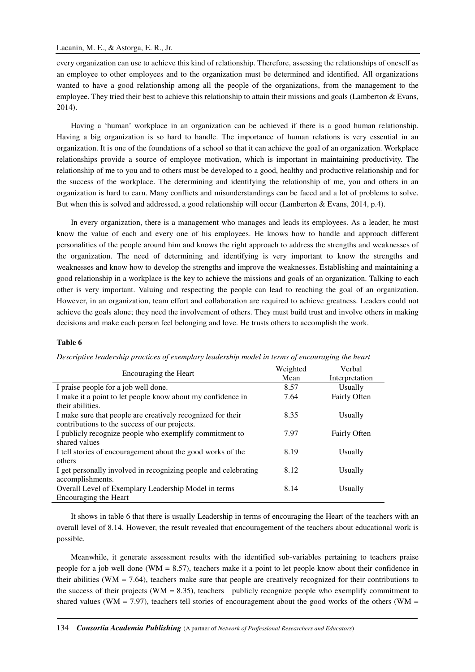every organization can use to achieve this kind of relationship. Therefore, assessing the relationships of oneself as an employee to other employees and to the organization must be determined and identified. All organizations wanted to have a good relationship among all the people of the organizations, from the management to the employee. They tried their best to achieve this relationship to attain their missions and goals (Lamberton & Evans, 2014).

Having a 'human' workplace in an organization can be achieved if there is a good human relationship. Having a big organization is so hard to handle. The importance of human relations is very essential in an organization. It is one of the foundations of a school so that it can achieve the goal of an organization. Workplace relationships provide a source of employee motivation, which is important in maintaining productivity. The relationship of me to you and to others must be developed to a good, healthy and productive relationship and for the success of the workplace. The determining and identifying the relationship of me, you and others in an organization is hard to earn. Many conflicts and misunderstandings can be faced and a lot of problems to solve. But when this is solved and addressed, a good relationship will occur (Lamberton & Evans, 2014, p.4).

In every organization, there is a management who manages and leads its employees. As a leader, he must know the value of each and every one of his employees. He knows how to handle and approach different personalities of the people around him and knows the right approach to address the strengths and weaknesses of the organization. The need of determining and identifying is very important to know the strengths and weaknesses and know how to develop the strengths and improve the weaknesses. Establishing and maintaining a good relationship in a workplace is the key to achieve the missions and goals of an organization. Talking to each other is very important. Valuing and respecting the people can lead to reaching the goal of an organization. However, in an organization, team effort and collaboration are required to achieve greatness. Leaders could not achieve the goals alone; they need the involvement of others. They must build trust and involve others in making decisions and make each person feel belonging and love. He trusts others to accomplish the work.

### **Table 6**

|  |  |  | Descriptive leadership practices of exemplary leadership model in terms of encouraging the heart |
|--|--|--|--------------------------------------------------------------------------------------------------|
|--|--|--|--------------------------------------------------------------------------------------------------|

|                                                                 | Weighted | Verbal         |
|-----------------------------------------------------------------|----------|----------------|
| Encouraging the Heart                                           | Mean     | Interpretation |
| I praise people for a job well done.                            | 8.57     | Usually        |
| I make it a point to let people know about my confidence in     | 7.64     | Fairly Often   |
| their abilities.                                                |          |                |
| I make sure that people are creatively recognized for their     | 8.35     | Usually        |
| contributions to the success of our projects.                   |          |                |
| I publicly recognize people who exemplify commitment to         | 7.97     | Fairly Often   |
| shared values                                                   |          |                |
| I tell stories of encouragement about the good works of the     | 8.19     | Usually        |
| others                                                          |          |                |
| I get personally involved in recognizing people and celebrating | 8.12     | Usually        |
| accomplishments.                                                |          |                |
| Overall Level of Exemplary Leadership Model in terms            | 8.14     | Usually        |
| Encouraging the Heart                                           |          |                |

It shows in table 6 that there is usually Leadership in terms of encouraging the Heart of the teachers with an overall level of 8.14. However, the result revealed that encouragement of the teachers about educational work is possible.

Meanwhile, it generate assessment results with the identified sub-variables pertaining to teachers praise people for a job well done (WM = 8.57), teachers make it a point to let people know about their confidence in their abilities (WM = 7.64), teachers make sure that people are creatively recognized for their contributions to the success of their projects (WM = 8.35), teachers publicly recognize people who exemplify commitment to shared values (WM = 7.97), teachers tell stories of encouragement about the good works of the others (WM =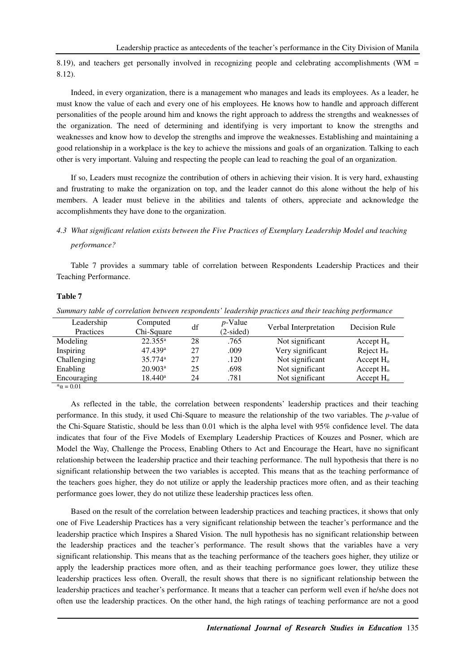8.19), and teachers get personally involved in recognizing people and celebrating accomplishments (WM = 8.12).

Indeed, in every organization, there is a management who manages and leads its employees. As a leader, he must know the value of each and every one of his employees. He knows how to handle and approach different personalities of the people around him and knows the right approach to address the strengths and weaknesses of the organization. The need of determining and identifying is very important to know the strengths and weaknesses and know how to develop the strengths and improve the weaknesses. Establishing and maintaining a good relationship in a workplace is the key to achieve the missions and goals of an organization. Talking to each other is very important. Valuing and respecting the people can lead to reaching the goal of an organization.

If so, Leaders must recognize the contribution of others in achieving their vision. It is very hard, exhausting and frustrating to make the organization on top, and the leader cannot do this alone without the help of his members. A leader must believe in the abilities and talents of others, appreciate and acknowledge the accomplishments they have done to the organization.

## *4.3 What significant relation exists between the Five Practices of Exemplary Leadership Model and teaching performance?*

Table 7 provides a summary table of correlation between Respondents Leadership Practices and their Teaching Performance.

## **Table 7**

*Summary table of correlation between respondents' leadership practices and their teaching performance* 

| Leadership<br>Practices | Computed<br>Chi-Square | df | $p$ -Value<br>$(2\t{-sided})$ | Verbal Interpretation | Decision Rule |
|-------------------------|------------------------|----|-------------------------------|-----------------------|---------------|
| Modeling                | $22.355^a$             | 28 | .765                          | Not significant       | Accept $H_0$  |
| Inspiring               | 47.439a                | 27 | .009                          | Very significant      | Reject $Ho$   |
| Challenging             | $35.774$ <sup>a</sup>  | 27 | .120                          | Not significant       | Accept $H_0$  |
| Enabling                | 20.903 <sup>a</sup>    | 25 | .698                          | Not significant       | Accept $H_0$  |
| Encouraging             | $18.440^{\rm a}$       | 24 | .781                          | Not significant       | Accept $H_0$  |
| $\star$ $0.01$          |                        |    |                               |                       |               |

 $*\alpha = 0.01$ 

As reflected in the table, the correlation between respondents' leadership practices and their teaching performance. In this study, it used Chi-Square to measure the relationship of the two variables. The *p*-value of the Chi-Square Statistic, should be less than 0.01 which is the alpha level with 95% confidence level. The data indicates that four of the Five Models of Exemplary Leadership Practices of Kouzes and Posner, which are Model the Way, Challenge the Process, Enabling Others to Act and Encourage the Heart, have no significant relationship between the leadership practice and their teaching performance. The null hypothesis that there is no significant relationship between the two variables is accepted. This means that as the teaching performance of the teachers goes higher, they do not utilize or apply the leadership practices more often, and as their teaching performance goes lower, they do not utilize these leadership practices less often.

Based on the result of the correlation between leadership practices and teaching practices, it shows that only one of Five Leadership Practices has a very significant relationship between the teacher's performance and the leadership practice which Inspires a Shared Vision. The null hypothesis has no significant relationship between the leadership practices and the teacher's performance. The result shows that the variables have a very significant relationship. This means that as the teaching performance of the teachers goes higher, they utilize or apply the leadership practices more often, and as their teaching performance goes lower, they utilize these leadership practices less often. Overall, the result shows that there is no significant relationship between the leadership practices and teacher's performance. It means that a teacher can perform well even if he/she does not often use the leadership practices. On the other hand, the high ratings of teaching performance are not a good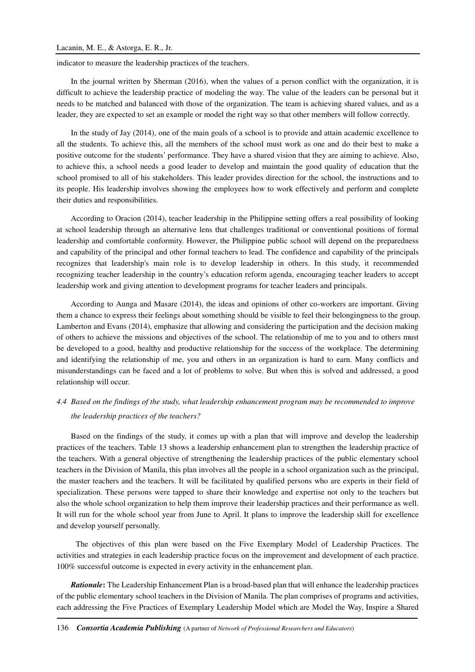indicator to measure the leadership practices of the teachers.

In the journal written by Sherman (2016), when the values of a person conflict with the organization, it is difficult to achieve the leadership practice of modeling the way. The value of the leaders can be personal but it needs to be matched and balanced with those of the organization. The team is achieving shared values, and as a leader, they are expected to set an example or model the right way so that other members will follow correctly.

In the study of Jay (2014), one of the main goals of a school is to provide and attain academic excellence to all the students. To achieve this, all the members of the school must work as one and do their best to make a positive outcome for the students' performance. They have a shared vision that they are aiming to achieve. Also, to achieve this, a school needs a good leader to develop and maintain the good quality of education that the school promised to all of his stakeholders. This leader provides direction for the school, the instructions and to its people. His leadership involves showing the employees how to work effectively and perform and complete their duties and responsibilities.

According to Oracion (2014), teacher leadership in the Philippine setting offers a real possibility of looking at school leadership through an alternative lens that challenges traditional or conventional positions of formal leadership and comfortable conformity. However, the Philippine public school will depend on the preparedness and capability of the principal and other formal teachers to lead. The confidence and capability of the principals recognizes that leadership's main role is to develop leadership in others. In this study, it recommended recognizing teacher leadership in the country's education reform agenda, encouraging teacher leaders to accept leadership work and giving attention to development programs for teacher leaders and principals.

According to Aunga and Masare (2014), the ideas and opinions of other co-workers are important. Giving them a chance to express their feelings about something should be visible to feel their belongingness to the group. Lamberton and Evans (2014), emphasize that allowing and considering the participation and the decision making of others to achieve the missions and objectives of the school. The relationship of me to you and to others must be developed to a good, healthy and productive relationship for the success of the workplace. The determining and identifying the relationship of me, you and others in an organization is hard to earn. Many conflicts and misunderstandings can be faced and a lot of problems to solve. But when this is solved and addressed, a good relationship will occur.

## *4.4 Based on the findings of the study, what leadership enhancement program may be recommended to improve the leadership practices of the teachers?*

Based on the findings of the study, it comes up with a plan that will improve and develop the leadership practices of the teachers. Table 13 shows a leadership enhancement plan to strengthen the leadership practice of the teachers. With a general objective of strengthening the leadership practices of the public elementary school teachers in the Division of Manila, this plan involves all the people in a school organization such as the principal, the master teachers and the teachers. It will be facilitated by qualified persons who are experts in their field of specialization. These persons were tapped to share their knowledge and expertise not only to the teachers but also the whole school organization to help them improve their leadership practices and their performance as well. It will run for the whole school year from June to April. It plans to improve the leadership skill for excellence and develop yourself personally.

 The objectives of this plan were based on the Five Exemplary Model of Leadership Practices. The activities and strategies in each leadership practice focus on the improvement and development of each practice. 100% successful outcome is expected in every activity in the enhancement plan.

*Rationale***:** The Leadership Enhancement Plan is a broad-based plan that will enhance the leadership practices of the public elementary school teachers in the Division of Manila. The plan comprises of programs and activities, each addressing the Five Practices of Exemplary Leadership Model which are Model the Way, Inspire a Shared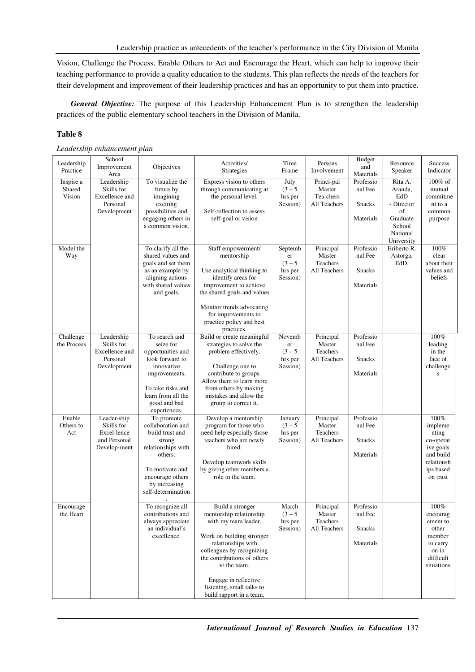Vision, Challenge the Process, Enable Others to Act and Encourage the Heart, which can help to improve their teaching performance to provide a quality education to the students. This plan reflects the needs of the teachers for their development and improvement of their leadership practices and has an opportunity to put them into practice.

*General Objective:* The purpose of this Leadership Enhancement Plan is to strengthen the leadership practices of the public elementary school teachers in the Division of Manila.

## **Table 8**

## *Leadership enhancement plan*

| Leadership          | School                    |                                        | Activities/                                    | Time                 | Persons                  | <b>Budget</b>          | Resource           | <b>Success</b>        |
|---------------------|---------------------------|----------------------------------------|------------------------------------------------|----------------------|--------------------------|------------------------|--------------------|-----------------------|
| Practice            | Improvement               | Objectives                             | <b>Strategies</b>                              | Frame                | Involvement              | and                    | Speaker            | Indicator             |
| Inspire a           | Area<br>Leadership        | To visualize the                       | Express vision to others                       | July                 | Princi-pal               | Materials<br>Professio | Rita A.            | 100% of               |
| Shared              | Skills for                | future by                              | through communicating at                       | $(3 - 5)$            | Master                   | nal Fee                | Aranda,            | mutual                |
| Vision              | Excellence and            | imagining                              | the personal level.                            | hrs per              | Tea-chers                |                        | EdD                | commitme              |
|                     | Personal                  | exciting                               |                                                | Session)             | All Teachers             | <b>Snacks</b>          | - Director         | nt to a               |
|                     | Development               | possibilities and                      | Self-reflection to assess                      |                      |                          |                        | of                 | common                |
|                     |                           | engaging others in<br>a common vision. | self-goal or vision                            |                      |                          | Materials              | Graduate<br>School | purpose               |
|                     |                           |                                        |                                                |                      |                          |                        | National           |                       |
|                     |                           |                                        |                                                |                      |                          |                        | University         |                       |
| Model the           |                           | To clarify all the                     | Staff empowerment/                             | Septemb              | Principal                | Professio              | Eriberto R.        | 100%                  |
| Way                 |                           | shared values and                      | mentorship                                     | er                   | Master                   | nal Fee                | Astorga,           | clear                 |
|                     |                           | goals and set them                     |                                                | $(3 - 5)$            | Teachers                 |                        | EdD.               | about their           |
|                     |                           | as an example by                       | Use analytical thinking to                     | hrs per              | All Teachers             | Snacks                 |                    | values and            |
|                     |                           | aligning actions<br>with shared values | identify areas for<br>improvement to achieve   | Session)             |                          | Materials              |                    | beliefs               |
|                     |                           | and goals.                             | the shared goals and values                    |                      |                          |                        |                    |                       |
|                     |                           |                                        |                                                |                      |                          |                        |                    |                       |
|                     |                           |                                        | Monitor trends advocating                      |                      |                          |                        |                    |                       |
|                     |                           |                                        | for improvements to                            |                      |                          |                        |                    |                       |
|                     |                           |                                        | practice policy and best                       |                      |                          |                        |                    |                       |
| Challenge           | Leadership                | To search and                          | practices.<br>Build or create meaningful       | Novemb               | Principal                | Professio              |                    | 100%                  |
| the Process         | Skills for                | seize for                              | strategies to solve the                        | er                   | Master                   | nal Fee                |                    | leading               |
|                     | Excellence and            | opportunities and                      | problem effectively.                           | $(3 - 5)$            | Teachers                 |                        |                    | in the                |
|                     | Personal                  | look forward to                        |                                                | hrs per              | All Teachers             | <b>Snacks</b>          |                    | face of               |
|                     | Development               | innovative                             | Challenge one to<br>contribute to groups.      | Session)             |                          | Materials              |                    | challenge             |
|                     |                           | improvements.                          | Allow them to learn more                       |                      |                          |                        |                    | ${\bf S}$             |
|                     |                           | To take risks and                      | from others by making                          |                      |                          |                        |                    |                       |
|                     |                           | learn from all the                     | mistakes and allow the                         |                      |                          |                        |                    |                       |
|                     |                           | good and bad                           | group to correct it.                           |                      |                          |                        |                    |                       |
|                     |                           | experiences.                           |                                                |                      |                          |                        |                    |                       |
| Enable<br>Others to | Leader-ship<br>Skills for | To promote<br>collaboration and        | Develop a mentorship<br>program for those who  | January<br>$(3 - 5)$ | Principal<br>Master      | Professio<br>nal Fee   |                    | 100%<br>impleme       |
| Act                 | Excel-lence               | build trust and                        | need help especially those                     | hrs per              | Teachers                 |                        |                    | nting                 |
|                     | and Personal              | strong                                 | teachers who are newly                         | Session)             | All Teachers             | <b>Snacks</b>          |                    | co-operat             |
|                     | Develop-ment              | relationships with                     | hired.                                         |                      |                          |                        |                    | ive goals             |
|                     |                           | others.                                |                                                |                      |                          | Materials              |                    | and build             |
|                     |                           |                                        | Develop teamwork skills                        |                      |                          |                        |                    | relationsh            |
|                     |                           | To motivate and<br>encourage others    | by giving other members a<br>role in the team. |                      |                          |                        |                    | ips based<br>on trust |
|                     |                           | by increasing                          |                                                |                      |                          |                        |                    |                       |
|                     |                           | self-determination                     |                                                |                      |                          |                        |                    |                       |
|                     |                           |                                        |                                                |                      |                          |                        |                    |                       |
| Encourage           |                           | To recognize all                       | Build a stronger                               | March                | Principal                | Professio              |                    | 100%                  |
| the Heart           |                           | contributions and<br>always appreciate | mentorship relationship                        | $(3 - 5)$            | Master                   | nal Fee                |                    | encourag              |
|                     |                           | an individual's                        | with my team leader.                           | hrs per<br>Session)  | Teachers<br>All Teachers | Snacks                 |                    | ement to<br>other     |
|                     |                           | excellence.                            | Work on building stronger                      |                      |                          |                        |                    | member                |
|                     |                           |                                        | relationships with                             |                      |                          | Materials              |                    | to carry              |
|                     |                           |                                        | colleagues by recognizing                      |                      |                          |                        |                    | on in                 |
|                     |                           |                                        | the contributions of others                    |                      |                          |                        |                    | difficult             |
|                     |                           |                                        | to the team.                                   |                      |                          |                        |                    | situations            |
|                     |                           |                                        | Engage in reflective                           |                      |                          |                        |                    |                       |
|                     |                           |                                        | listening, small talks to                      |                      |                          |                        |                    |                       |
|                     |                           |                                        | build rapport in a team.                       |                      |                          |                        |                    |                       |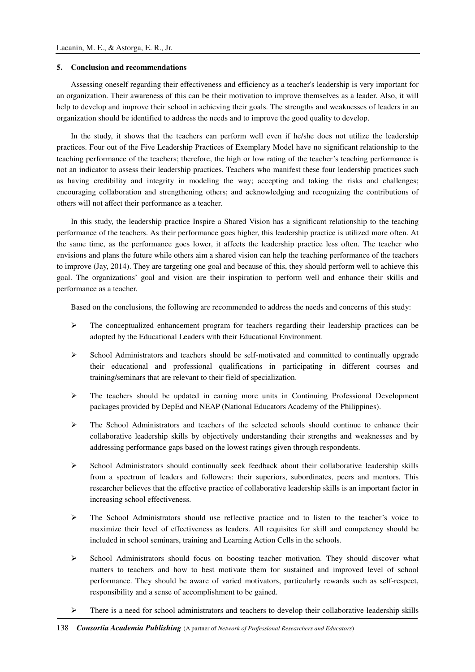### **5. Conclusion and recommendations**

Assessing oneself regarding their effectiveness and efficiency as a teacher's leadership is very important for an organization. Their awareness of this can be their motivation to improve themselves as a leader. Also, it will help to develop and improve their school in achieving their goals. The strengths and weaknesses of leaders in an organization should be identified to address the needs and to improve the good quality to develop.

In the study, it shows that the teachers can perform well even if he/she does not utilize the leadership practices. Four out of the Five Leadership Practices of Exemplary Model have no significant relationship to the teaching performance of the teachers; therefore, the high or low rating of the teacher's teaching performance is not an indicator to assess their leadership practices. Teachers who manifest these four leadership practices such as having credibility and integrity in modeling the way; accepting and taking the risks and challenges; encouraging collaboration and strengthening others; and acknowledging and recognizing the contributions of others will not affect their performance as a teacher.

In this study, the leadership practice Inspire a Shared Vision has a significant relationship to the teaching performance of the teachers. As their performance goes higher, this leadership practice is utilized more often. At the same time, as the performance goes lower, it affects the leadership practice less often. The teacher who envisions and plans the future while others aim a shared vision can help the teaching performance of the teachers to improve (Jay, 2014). They are targeting one goal and because of this, they should perform well to achieve this goal. The organizations' goal and vision are their inspiration to perform well and enhance their skills and performance as a teacher.

Based on the conclusions, the following are recommended to address the needs and concerns of this study:

- $\triangleright$  The conceptualized enhancement program for teachers regarding their leadership practices can be adopted by the Educational Leaders with their Educational Environment.
- $\triangleright$  School Administrators and teachers should be self-motivated and committed to continually upgrade their educational and professional qualifications in participating in different courses and training/seminars that are relevant to their field of specialization.
- $\triangleright$  The teachers should be updated in earning more units in Continuing Professional Development packages provided by DepEd and NEAP (National Educators Academy of the Philippines).
- $\triangleright$  The School Administrators and teachers of the selected schools should continue to enhance their collaborative leadership skills by objectively understanding their strengths and weaknesses and by addressing performance gaps based on the lowest ratings given through respondents.
- $\triangleright$  School Administrators should continually seek feedback about their collaborative leadership skills from a spectrum of leaders and followers: their superiors, subordinates, peers and mentors. This researcher believes that the effective practice of collaborative leadership skills is an important factor in increasing school effectiveness.
- $\triangleright$  The School Administrators should use reflective practice and to listen to the teacher's voice to maximize their level of effectiveness as leaders. All requisites for skill and competency should be included in school seminars, training and Learning Action Cells in the schools.
- $\triangleright$  School Administrators should focus on boosting teacher motivation. They should discover what matters to teachers and how to best motivate them for sustained and improved level of school performance. They should be aware of varied motivators, particularly rewards such as self-respect, responsibility and a sense of accomplishment to be gained.
- $\triangleright$  There is a need for school administrators and teachers to develop their collaborative leadership skills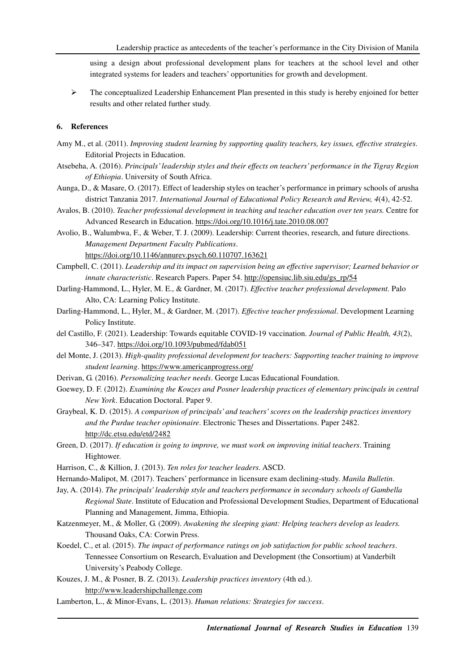using a design about professional development plans for teachers at the school level and other integrated systems for leaders and teachers' opportunities for growth and development.

 $\triangleright$  The conceptualized Leadership Enhancement Plan presented in this study is hereby enjoined for better results and other related further study.

## **6. References**

- Amy M., et al. (2011). *Improving student learning by supporting quality teachers, key issues, effective strategies*. Editorial Projects in Education.
- Atsebeha, A. (2016). *Principals' leadership styles and their effects on teachers' performance in the Tigray Region of Ethiopia*. University of South Africa.
- Aunga, D., & Masare, O. (2017). Effect of leadership styles on teacher's performance in primary schools of arusha district Tanzania 2017. *International Journal of Educational Policy Research and Review, 4*(4), 42-52.
- Avalos, B. (2010). *Teacher professional development in teaching and teacher education over ten years.* Centre for Advanced Research in Education. https://doi.org/10.1016/j.tate.2010.08.007
- Avolio, B., Walumbwa, F., & Weber, T. J. (2009). Leadership: Current theories, research, and future directions. *Management Department Faculty Publications*. https://doi.org/10.1146/annurev.psych.60.110707.163621
- Campbell, C. (2011). *Leadership and its impact on supervision being an effective supervisor; Learned behavior or innate characteristic*. Research Papers. Paper 54. http://opensiuc.lib.siu.edu/gs\_rp/54
- Darling-Hammond, L., Hyler, M. E., & Gardner, M. (2017). *Effective teacher professional development.* Palo Alto, CA: Learning Policy Institute.
- Darling-Hammond, L., Hyler, M., & Gardner, M. (2017). *Effective teacher professional*. Development Learning Policy Institute.
- del Castillo, F. (2021). Leadership: Towards equitable COVID-19 vaccination. *Journal of Public Health, 43*(2), 346–347. https://doi.org/10.1093/pubmed/fdab051
- del Monte, J. (2013). *High-quality professional development for teachers: Supporting teacher training to improve student learning*. https://www.americanprogress.org/
- Derivan, G. (2016). *Personalizing teacher needs*. George Lucas Educational Foundation.
- Goewey, D. F. (2012). *Examining the Kouzes and Posner leadership practices of elementary principals in central New York*. Education Doctoral. Paper 9.
- Graybeal, K. D. (2015). *A comparison of principals' and teachers' scores on the leadership practices inventory and the Purdue teacher opinionaire*. Electronic Theses and Dissertations. Paper 2482. http://dc.etsu.edu/etd/2482
- Green, D. (2017). *If education is going to improve, we must work on improving initial teachers*. Training Hightower.
- Harrison, C., & Killion, J. (2013). *Ten roles for teacher leaders*. ASCD.
- Hernando-Malipot, M. (2017). Teachers' performance in licensure exam declining-study. *Manila Bulletin*.
- Jay, A. (2014). *The principals' leadership style and teachers performance in secondary schools of Gambella Regional State*. Institute of Education and Professional Development Studies, Department of Educational Planning and Management, Jimma, Ethiopia.
- Katzenmeyer, M., & Moller, G. (2009). *Awakening the sleeping giant: Helping teachers develop as leaders.* Thousand Oaks, CA: Corwin Press.
- Koedel, C., et al. (2015). *The impact of performance ratings on job satisfaction for public school teachers*. Tennessee Consortium on Research, Evaluation and Development (the Consortium) at Vanderbilt University's Peabody College.
- Kouzes, J. M., & Posner, B. Z. (2013). *Leadership practices inventory* (4th ed.). http://www.leadershipchallenge.com
- Lamberton, L., & Minor-Evans, L. (2013). *Human relations: Strategies for success*.